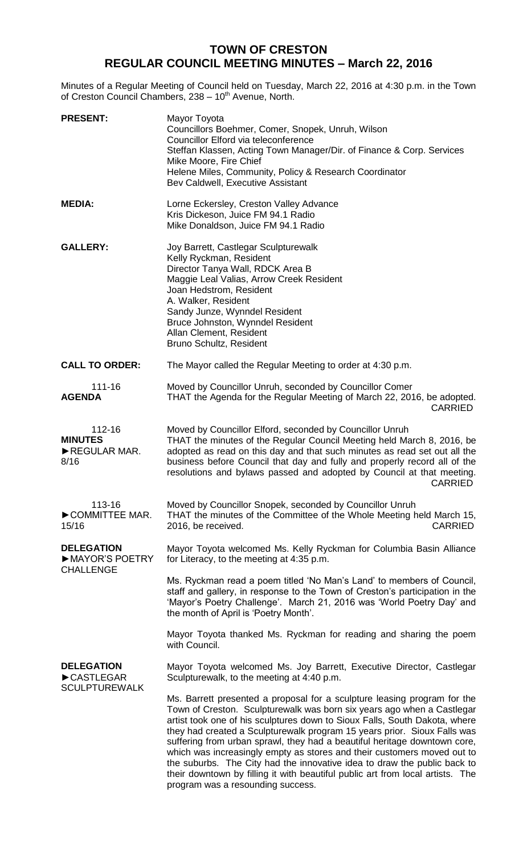# **TOWN OF CRESTON REGULAR COUNCIL MEETING MINUTES – March 22, 2016**

Minutes of a Regular Meeting of Council held on Tuesday, March 22, 2016 at 4:30 p.m. in the Town of Creston Council Chambers, 238 - 10<sup>th</sup> Avenue, North.

| <b>PRESENT:</b>                                         | Mayor Toyota<br>Councillors Boehmer, Comer, Snopek, Unruh, Wilson<br>Councillor Elford via teleconference<br>Steffan Klassen, Acting Town Manager/Dir. of Finance & Corp. Services<br>Mike Moore, Fire Chief<br>Helene Miles, Community, Policy & Research Coordinator<br>Bev Caldwell, Executive Assistant                                                                                                                                                                                                                                                                                                                                                             |
|---------------------------------------------------------|-------------------------------------------------------------------------------------------------------------------------------------------------------------------------------------------------------------------------------------------------------------------------------------------------------------------------------------------------------------------------------------------------------------------------------------------------------------------------------------------------------------------------------------------------------------------------------------------------------------------------------------------------------------------------|
| <b>MEDIA:</b>                                           | Lorne Eckersley, Creston Valley Advance<br>Kris Dickeson, Juice FM 94.1 Radio<br>Mike Donaldson, Juice FM 94.1 Radio                                                                                                                                                                                                                                                                                                                                                                                                                                                                                                                                                    |
| <b>GALLERY:</b>                                         | Joy Barrett, Castlegar Sculpturewalk<br>Kelly Ryckman, Resident<br>Director Tanya Wall, RDCK Area B<br>Maggie Leal Valias, Arrow Creek Resident<br>Joan Hedstrom, Resident<br>A. Walker, Resident<br>Sandy Junze, Wynndel Resident<br>Bruce Johnston, Wynndel Resident<br>Allan Clement, Resident<br>Bruno Schultz, Resident                                                                                                                                                                                                                                                                                                                                            |
| <b>CALL TO ORDER:</b>                                   | The Mayor called the Regular Meeting to order at 4:30 p.m.                                                                                                                                                                                                                                                                                                                                                                                                                                                                                                                                                                                                              |
| 111-16<br><b>AGENDA</b>                                 | Moved by Councillor Unruh, seconded by Councillor Comer<br>THAT the Agenda for the Regular Meeting of March 22, 2016, be adopted.<br><b>CARRIED</b>                                                                                                                                                                                                                                                                                                                                                                                                                                                                                                                     |
| 112-16<br><b>MINUTES</b><br>REGULAR MAR.<br>8/16        | Moved by Councillor Elford, seconded by Councillor Unruh<br>THAT the minutes of the Regular Council Meeting held March 8, 2016, be<br>adopted as read on this day and that such minutes as read set out all the<br>business before Council that day and fully and properly record all of the<br>resolutions and bylaws passed and adopted by Council at that meeting.<br><b>CARRIED</b>                                                                                                                                                                                                                                                                                 |
| 113-16<br>COMMITTEE MAR.<br>15/16                       | Moved by Councillor Snopek, seconded by Councillor Unruh<br>THAT the minutes of the Committee of the Whole Meeting held March 15,<br><b>CARRIED</b><br>2016, be received.                                                                                                                                                                                                                                                                                                                                                                                                                                                                                               |
| <b>DELEGATION</b><br>MAYOR'S POETRY<br><b>CHALLENGE</b> | Mayor Toyota welcomed Ms. Kelly Ryckman for Columbia Basin Alliance<br>for Literacy, to the meeting at 4:35 p.m.                                                                                                                                                                                                                                                                                                                                                                                                                                                                                                                                                        |
|                                                         | Ms. Ryckman read a poem titled 'No Man's Land' to members of Council,<br>staff and gallery, in response to the Town of Creston's participation in the<br>'Mayor's Poetry Challenge'. March 21, 2016 was 'World Poetry Day' and<br>the month of April is 'Poetry Month'.                                                                                                                                                                                                                                                                                                                                                                                                 |
|                                                         | Mayor Toyota thanked Ms. Ryckman for reading and sharing the poem<br>with Council.                                                                                                                                                                                                                                                                                                                                                                                                                                                                                                                                                                                      |
| <b>DELEGATION</b><br>CASTLEGAR<br><b>SCULPTUREWALK</b>  | Mayor Toyota welcomed Ms. Joy Barrett, Executive Director, Castlegar<br>Sculpturewalk, to the meeting at 4:40 p.m.                                                                                                                                                                                                                                                                                                                                                                                                                                                                                                                                                      |
|                                                         | Ms. Barrett presented a proposal for a sculpture leasing program for the<br>Town of Creston. Sculpturewalk was born six years ago when a Castlegar<br>artist took one of his sculptures down to Sioux Falls, South Dakota, where<br>they had created a Sculpturewalk program 15 years prior. Sioux Falls was<br>suffering from urban sprawl, they had a beautiful heritage downtown core,<br>which was increasingly empty as stores and their customers moved out to<br>the suburbs. The City had the innovative idea to draw the public back to<br>their downtown by filling it with beautiful public art from local artists. The<br>program was a resounding success. |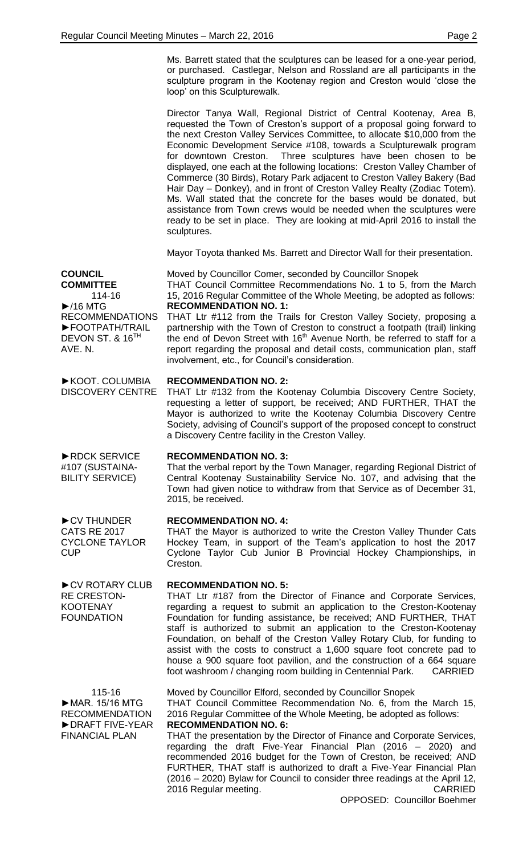Ms. Barrett stated that the sculptures can be leased for a one-year period, or purchased. Castlegar, Nelson and Rossland are all participants in the sculpture program in the Kootenay region and Creston would 'close the loop' on this Sculpturewalk.

Director Tanya Wall, Regional District of Central Kootenay, Area B, requested the Town of Creston's support of a proposal going forward to the next Creston Valley Services Committee, to allocate \$10,000 from the Economic Development Service #108, towards a Sculpturewalk program for downtown Creston. Three sculptures have been chosen to be displayed, one each at the following locations: Creston Valley Chamber of Commerce (30 Birds), Rotary Park adjacent to Creston Valley Bakery (Bad Hair Day – Donkey), and in front of Creston Valley Realty (Zodiac Totem). Ms. Wall stated that the concrete for the bases would be donated, but assistance from Town crews would be needed when the sculptures were ready to be set in place. They are looking at mid-April 2016 to install the sculptures.

Mayor Toyota thanked Ms. Barrett and Director Wall for their presentation.

**COUNCIL** 

**COMMITTEE** 114-16 ►/16 MTG RECOMMENDATIONS ►FOOTPATH/TRAIL DEVON ST. & 16<sup>TH</sup> AVE. N.

►KOOT. COLUMBIA DISCOVERY CENTRE Moved by Councillor Comer, seconded by Councillor Snopek THAT Council Committee Recommendations No. 1 to 5, from the March 15, 2016 Regular Committee of the Whole Meeting, be adopted as follows: **RECOMMENDATION NO. 1:** THAT Ltr #112 from the Trails for Creston Valley Society, proposing a partnership with the Town of Creston to construct a footpath (trail) linking

the end of Devon Street with  $16<sup>th</sup>$  Avenue North, be referred to staff for a report regarding the proposal and detail costs, communication plan, staff involvement, etc., for Council's consideration.

### **RECOMMENDATION NO. 2:**

THAT Ltr #132 from the Kootenay Columbia Discovery Centre Society, requesting a letter of support, be received; AND FURTHER, THAT the Mayor is authorized to write the Kootenay Columbia Discovery Centre Society, advising of Council's support of the proposed concept to construct a Discovery Centre facility in the Creston Valley.

**RECOMMENDATION NO. 3:**

That the verbal report by the Town Manager, regarding Regional District of Central Kootenay Sustainability Service No. 107, and advising that the Town had given notice to withdraw from that Service as of December 31, 2015, be received.

## **RECOMMENDATION NO. 4:**

THAT the Mayor is authorized to write the Creston Valley Thunder Cats Hockey Team, in support of the Team's application to host the 2017 Cyclone Taylor Cub Junior B Provincial Hockey Championships, in Creston.

#### **RECOMMENDATION NO. 5:**

THAT Ltr #187 from the Director of Finance and Corporate Services, regarding a request to submit an application to the Creston-Kootenay Foundation for funding assistance, be received; AND FURTHER, THAT staff is authorized to submit an application to the Creston-Kootenay Foundation, on behalf of the Creston Valley Rotary Club, for funding to assist with the costs to construct a 1,600 square foot concrete pad to house a 900 square foot pavilion, and the construction of a 664 square foot washroom / changing room building in Centennial Park. CARRIED

115-16 ►MAR. 15/16 MTG RECOMMENDATION ►DRAFT FIVE-YEAR FINANCIAL PLAN Moved by Councillor Elford, seconded by Councillor Snopek THAT Council Committee Recommendation No. 6, from the March 15, 2016 Regular Committee of the Whole Meeting, be adopted as follows: **RECOMMENDATION NO. 6:** THAT the presentation by the Director of Finance and Corporate Services, regarding the draft Five-Year Financial Plan (2016 – 2020) and

recommended 2016 budget for the Town of Creston, be received; AND FURTHER, THAT staff is authorized to draft a Five-Year Financial Plan (2016 – 2020) Bylaw for Council to consider three readings at the April 12, 2016 Regular meeting. CARRIED

# ►CV THUNDER CATS RE 2017

►RDCK SERVICE #107 (SUSTAINA-BILITY SERVICE)

CYCLONE TAYLOR **CUP** 

►CV ROTARY CLUB RE CRESTON-KOOTENAY FOUNDATION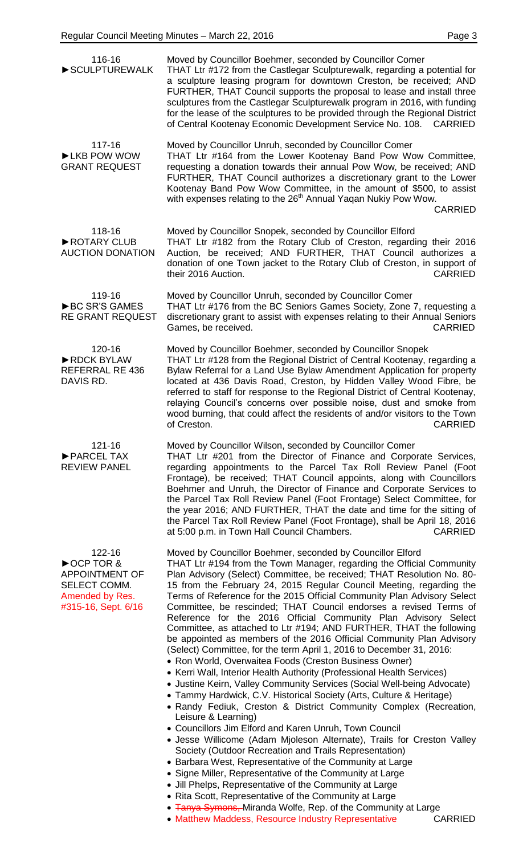| 116-16<br>SCULPTUREWALK                                                                                  | Moved by Councillor Boehmer, seconded by Councillor Comer<br>THAT Ltr #172 from the Castlegar Sculpturewalk, regarding a potential for<br>a sculpture leasing program for downtown Creston, be received; AND<br>FURTHER, THAT Council supports the proposal to lease and install three<br>sculptures from the Castlegar Sculpturewalk program in 2016, with funding<br>for the lease of the sculptures to be provided through the Regional District<br>of Central Kootenay Economic Development Service No. 108. CARRIED                                                                                                                                                                                                                                                                                                                                                                                                                                                                                                                                                                                                                                                                                                                                                                                                                                                                                                                                                                                                                                                                                                                                                                        |
|----------------------------------------------------------------------------------------------------------|-------------------------------------------------------------------------------------------------------------------------------------------------------------------------------------------------------------------------------------------------------------------------------------------------------------------------------------------------------------------------------------------------------------------------------------------------------------------------------------------------------------------------------------------------------------------------------------------------------------------------------------------------------------------------------------------------------------------------------------------------------------------------------------------------------------------------------------------------------------------------------------------------------------------------------------------------------------------------------------------------------------------------------------------------------------------------------------------------------------------------------------------------------------------------------------------------------------------------------------------------------------------------------------------------------------------------------------------------------------------------------------------------------------------------------------------------------------------------------------------------------------------------------------------------------------------------------------------------------------------------------------------------------------------------------------------------|
| 117-16<br>LKB POW WOW<br><b>GRANT REQUEST</b>                                                            | Moved by Councillor Unruh, seconded by Councillor Comer<br>THAT Ltr #164 from the Lower Kootenay Band Pow Wow Committee,<br>requesting a donation towards their annual Pow Wow, be received; AND<br>FURTHER, THAT Council authorizes a discretionary grant to the Lower<br>Kootenay Band Pow Wow Committee, in the amount of \$500, to assist<br>with expenses relating to the 26 <sup>th</sup> Annual Yaqan Nukiy Pow Wow.<br><b>CARRIED</b>                                                                                                                                                                                                                                                                                                                                                                                                                                                                                                                                                                                                                                                                                                                                                                                                                                                                                                                                                                                                                                                                                                                                                                                                                                                   |
| 118-16<br>ROTARY CLUB<br><b>AUCTION DONATION</b>                                                         | Moved by Councillor Snopek, seconded by Councillor Elford<br>THAT Ltr #182 from the Rotary Club of Creston, regarding their 2016<br>Auction, be received; AND FURTHER, THAT Council authorizes a<br>donation of one Town jacket to the Rotary Club of Creston, in support of<br>their 2016 Auction.<br><b>CARRIED</b>                                                                                                                                                                                                                                                                                                                                                                                                                                                                                                                                                                                                                                                                                                                                                                                                                                                                                                                                                                                                                                                                                                                                                                                                                                                                                                                                                                           |
| 119-16<br>▶BC SR'S GAMES<br><b>RE GRANT REQUEST</b>                                                      | Moved by Councillor Unruh, seconded by Councillor Comer<br>THAT Ltr #176 from the BC Seniors Games Society, Zone 7, requesting a<br>discretionary grant to assist with expenses relating to their Annual Seniors<br>Games, be received.<br><b>CARRIED</b>                                                                                                                                                                                                                                                                                                                                                                                                                                                                                                                                                                                                                                                                                                                                                                                                                                                                                                                                                                                                                                                                                                                                                                                                                                                                                                                                                                                                                                       |
| 120-16<br>RDCK BYLAW<br>REFERRAL RE 436<br>DAVIS RD.                                                     | Moved by Councillor Boehmer, seconded by Councillor Snopek<br>THAT Ltr #128 from the Regional District of Central Kootenay, regarding a<br>Bylaw Referral for a Land Use Bylaw Amendment Application for property<br>located at 436 Davis Road, Creston, by Hidden Valley Wood Fibre, be<br>referred to staff for response to the Regional District of Central Kootenay,<br>relaying Council's concerns over possible noise, dust and smoke from<br>wood burning, that could affect the residents of and/or visitors to the Town<br>of Creston.<br><b>CARRIED</b>                                                                                                                                                                                                                                                                                                                                                                                                                                                                                                                                                                                                                                                                                                                                                                                                                                                                                                                                                                                                                                                                                                                               |
| 121-16<br>▶ PARCEL TAX<br><b>REVIEW PANEL</b>                                                            | Moved by Councillor Wilson, seconded by Councillor Comer<br>THAT Ltr #201 from the Director of Finance and Corporate Services,<br>regarding appointments to the Parcel Tax Roll Review Panel (Foot<br>Frontage), be received; THAT Council appoints, along with Councillors<br>Boehmer and Unruh, the Director of Finance and Corporate Services to<br>the Parcel Tax Roll Review Panel (Foot Frontage) Select Committee, for<br>the year 2016; AND FURTHER, THAT the date and time for the sitting of<br>the Parcel Tax Roll Review Panel (Foot Frontage), shall be April 18, 2016<br>at 5:00 p.m. in Town Hall Council Chambers.<br><b>CARRIED</b>                                                                                                                                                                                                                                                                                                                                                                                                                                                                                                                                                                                                                                                                                                                                                                                                                                                                                                                                                                                                                                            |
| 122-16<br>► OCP TOR &<br><b>APPOINTMENT OF</b><br>SELECT COMM.<br>Amended by Res.<br>#315-16, Sept. 6/16 | Moved by Councillor Boehmer, seconded by Councillor Elford<br>THAT Ltr #194 from the Town Manager, regarding the Official Community<br>Plan Advisory (Select) Committee, be received; THAT Resolution No. 80-<br>15 from the February 24, 2015 Regular Council Meeting, regarding the<br>Terms of Reference for the 2015 Official Community Plan Advisory Select<br>Committee, be rescinded; THAT Council endorses a revised Terms of<br>Reference for the 2016 Official Community Plan Advisory Select<br>Committee, as attached to Ltr #194; AND FURTHER, THAT the following<br>be appointed as members of the 2016 Official Community Plan Advisory<br>(Select) Committee, for the term April 1, 2016 to December 31, 2016:<br>• Ron World, Overwaitea Foods (Creston Business Owner)<br>• Kerri Wall, Interior Health Authority (Professional Health Services)<br>• Justine Keirn, Valley Community Services (Social Well-being Advocate)<br>• Tammy Hardwick, C.V. Historical Society (Arts, Culture & Heritage)<br>• Randy Fediuk, Creston & District Community Complex (Recreation,<br>Leisure & Learning)<br>• Councillors Jim Elford and Karen Unruh, Town Council<br>• Jesse Willicome (Adam Mjoleson Alternate), Trails for Creston Valley<br>Society (Outdoor Recreation and Trails Representation)<br>• Barbara West, Representative of the Community at Large<br>• Signe Miller, Representative of the Community at Large<br>• Jill Phelps, Representative of the Community at Large<br>• Rita Scott, Representative of the Community at Large<br>• Tanya Symons, Miranda Wolfe, Rep. of the Community at Large<br>CARRIED<br>• Matthew Maddess, Resource Industry Representative |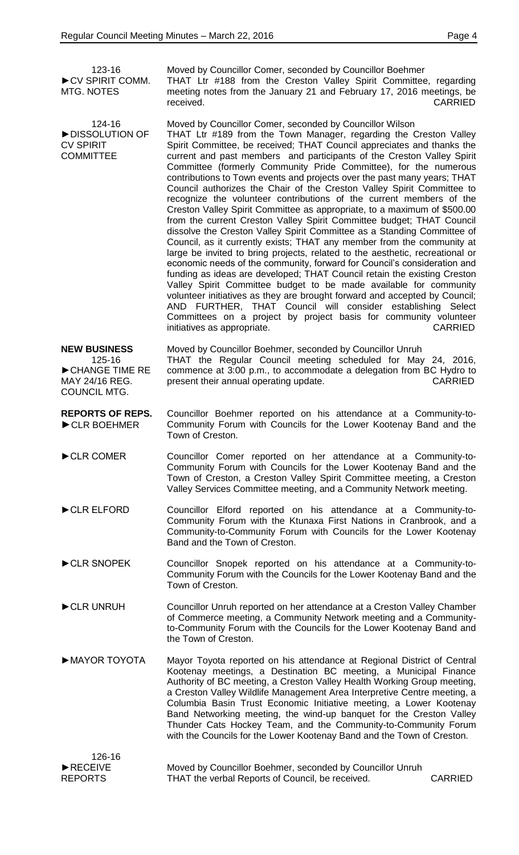| 123-16                           |
|----------------------------------|
| $\triangleright$ CV SPIRIT COMM. |
| MTG. NOTES                       |

COMMITTEE

124-16 ►DISSOLUTION OF CV SPIRIT

Moved by Councillor Comer, seconded by Councillor Boehmer THAT Ltr #188 from the Creston Valley Spirit Committee, regarding meeting notes from the January 21 and February 17, 2016 meetings, be received. CARRIED

Moved by Councillor Comer, seconded by Councillor Wilson THAT Ltr #189 from the Town Manager, regarding the Creston Valley Spirit Committee, be received; THAT Council appreciates and thanks the current and past members and participants of the Creston Valley Spirit Committee (formerly Community Pride Committee), for the numerous contributions to Town events and projects over the past many years; THAT Council authorizes the Chair of the Creston Valley Spirit Committee to recognize the volunteer contributions of the current members of the Creston Valley Spirit Committee as appropriate, to a maximum of \$500.00 from the current Creston Valley Spirit Committee budget; THAT Council dissolve the Creston Valley Spirit Committee as a Standing Committee of Council, as it currently exists; THAT any member from the community at large be invited to bring projects, related to the aesthetic, recreational or economic needs of the community, forward for Council's consideration and funding as ideas are developed; THAT Council retain the existing Creston Valley Spirit Committee budget to be made available for community volunteer initiatives as they are brought forward and accepted by Council; AND FURTHER, THAT Council will consider establishing Select Committees on a project by project basis for community volunteer initiatives as appropriate. The contraction of the contraction of the contraction of the contraction of the contraction of the contraction of the contraction of the contraction of the contraction of the contraction of the

**NEW BUSINESS** 125-16 ►CHANGE TIME RE MAY 24/16 REG. COUNCIL MTG. Moved by Councillor Boehmer, seconded by Councillor Unruh THAT the Regular Council meeting scheduled for May 24, 2016, commence at 3:00 p.m., to accommodate a delegation from BC Hydro to present their annual operating update. The contract of the CARRIED

**REPORTS OF REPS.** ►CLR BOEHMER Councillor Boehmer reported on his attendance at a Community-to-Community Forum with Councils for the Lower Kootenay Band and the Town of Creston.

- ►CLR COMER Councillor Comer reported on her attendance at a Community-to-Community Forum with Councils for the Lower Kootenay Band and the Town of Creston, a Creston Valley Spirit Committee meeting, a Creston Valley Services Committee meeting, and a Community Network meeting.
- ►CLR ELFORD Councillor Elford reported on his attendance at a Community-to-Community Forum with the Ktunaxa First Nations in Cranbrook, and a Community-to-Community Forum with Councils for the Lower Kootenay Band and the Town of Creston.
- ►CLR SNOPEK Councillor Snopek reported on his attendance at a Community-to-Community Forum with the Councils for the Lower Kootenay Band and the Town of Creston.
- ►CLR UNRUH Councillor Unruh reported on her attendance at a Creston Valley Chamber of Commerce meeting, a Community Network meeting and a Communityto-Community Forum with the Councils for the Lower Kootenay Band and the Town of Creston.
- ►MAYOR TOYOTA Mayor Toyota reported on his attendance at Regional District of Central Kootenay meetings, a Destination BC meeting, a Municipal Finance Authority of BC meeting, a Creston Valley Health Working Group meeting, a Creston Valley Wildlife Management Area Interpretive Centre meeting, a Columbia Basin Trust Economic Initiative meeting, a Lower Kootenay Band Networking meeting, the wind-up banquet for the Creston Valley Thunder Cats Hockey Team, and the Community-to-Community Forum with the Councils for the Lower Kootenay Band and the Town of Creston.

| 126-16                        |                                                           |                |
|-------------------------------|-----------------------------------------------------------|----------------|
| $\blacktriangleright$ RECEIVE | Moved by Councillor Boehmer, seconded by Councillor Unruh |                |
| <b>REPORTS</b>                | THAT the verbal Reports of Council, be received.          | <b>CARRIED</b> |